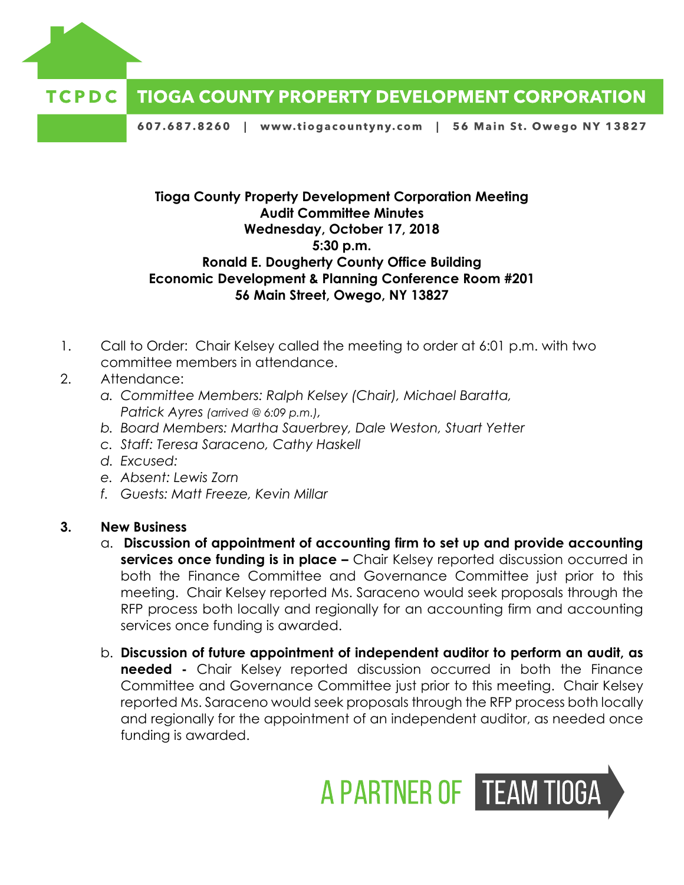

## **TIOGA COUNTY PROPERTY DEVELOPMENT CORPORATION** TCPDC

607.687.8260 | www.tiogacountyny.com | 56 Main St. Owego NY 13827

## **Tioga County Property Development Corporation Meeting Audit Committee Minutes Wednesday, October 17, 2018 5:30 p.m. Ronald E. Dougherty County Office Building Economic Development & Planning Conference Room #201 56 Main Street, Owego, NY 13827**

- 1. Call to Order: Chair Kelsey called the meeting to order at 6:01 p.m. with two committee members in attendance.
- 2. Attendance:
	- *a. Committee Members: Ralph Kelsey (Chair), Michael Baratta, Patrick Ayres (arrived @ 6:09 p.m.),*
	- *b. Board Members: Martha Sauerbrey, Dale Weston, Stuart Yetter*
	- *c. Staff: Teresa Saraceno, Cathy Haskell*
	- *d. Excused:*
	- *e. Absent: Lewis Zorn*
	- *f. Guests: Matt Freeze, Kevin Millar*

## **3. New Business**

- a. **Discussion of appointment of accounting firm to set up and provide accounting services once funding is in place -** Chair Kelsey reported discussion occurred in both the Finance Committee and Governance Committee just prior to this meeting. Chair Kelsey reported Ms. Saraceno would seek proposals through the RFP process both locally and regionally for an accounting firm and accounting services once funding is awarded.
- b. **Discussion of future appointment of independent auditor to perform an audit, as needed -** Chair Kelsey reported discussion occurred in both the Finance Committee and Governance Committee just prior to this meeting. Chair Kelsey reported Ms. Saraceno would seek proposals through the RFP process both locally and regionally for the appointment of an independent auditor, as needed once funding is awarded.